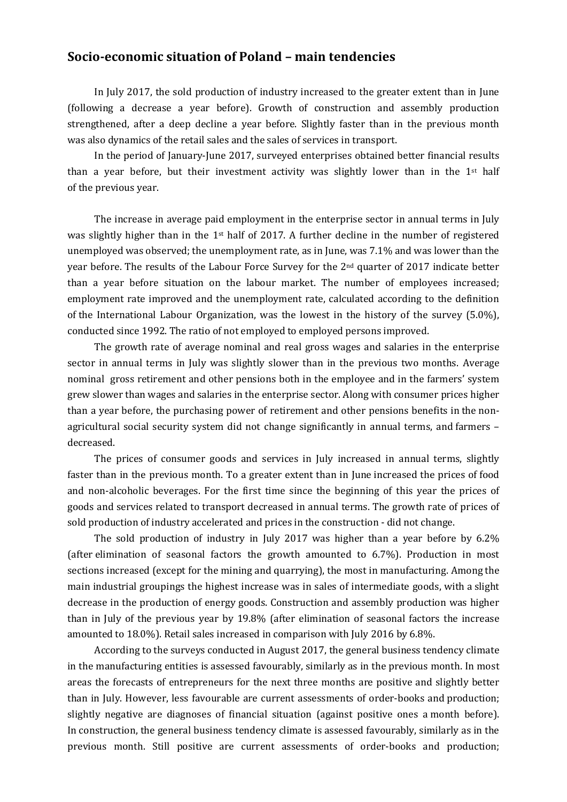## **Socio-economic situation of Poland – main tendencies**

In July 2017, the sold production of industry increased to the greater extent than in June (following a decrease a year before). Growth of construction and assembly production strengthened, after a deep decline a year before. Slightly faster than in the previous month was also dynamics of the retail sales and the sales of services in transport.

In the period of January-June 2017, surveyed enterprises obtained better financial results than a year before, but their investment activity was slightly lower than in the 1st half of the previous year.

The increase in average paid employment in the enterprise sector in annual terms in July was slightly higher than in the 1st half of 2017. A further decline in the number of registered unemployed was observed; the unemployment rate, as in June, was 7.1% and was lower than the year before. The results of the Labour Force Survey for the  $2<sup>nd</sup>$  quarter of 2017 indicate better than a year before situation on the labour market. The number of employees increased; employment rate improved and the unemployment rate, calculated according to the definition of the International Labour Organization, was the lowest in the history of the survey (5.0%), conducted since 1992. The ratio of not employed to employed persons improved.

The growth rate of average nominal and real gross wages and salaries in the enterprise sector in annual terms in July was slightly slower than in the previous two months. Average nominal gross retirement and other pensions both in the employee and in the farmers' system grew slower than wages and salaries in the enterprise sector. Along with consumer prices higher than a year before, the purchasing power of retirement and other pensions benefits in the nonagricultural social security system did not change significantly in annual terms, and farmers – decreased.

The prices of consumer goods and services in July increased in annual terms, slightly faster than in the previous month. To a greater extent than in June increased the prices of food and non-alcoholic beverages. For the first time since the beginning of this year the prices of goods and services related to transport decreased in annual terms. The growth rate of prices of sold production of industry accelerated and prices in the construction - did not change.

The sold production of industry in July 2017 was higher than a year before by 6.2% (after elimination of seasonal factors the growth amounted to 6.7%). Production in most sections increased (except for the mining and quarrying), the most in manufacturing. Among the main industrial groupings the highest increase was in sales of intermediate goods, with a slight decrease in the production of energy goods. Construction and assembly production was higher than in July of the previous year by 19.8% (after elimination of seasonal factors the increase amounted to 18.0%). Retail sales increased in comparison with July 2016 by 6.8%.

According to the surveys conducted in August 2017, the general business tendency climate in the manufacturing entities is assessed favourably, similarly as in the previous month. In most areas the forecasts of entrepreneurs for the next three months are positive and slightly better than in July. However, less favourable are current assessments of order-books and production; slightly negative are diagnoses of financial situation (against positive ones a month before). In construction, the general business tendency climate is assessed favourably, similarly as in the previous month. Still positive are current assessments of order-books and production;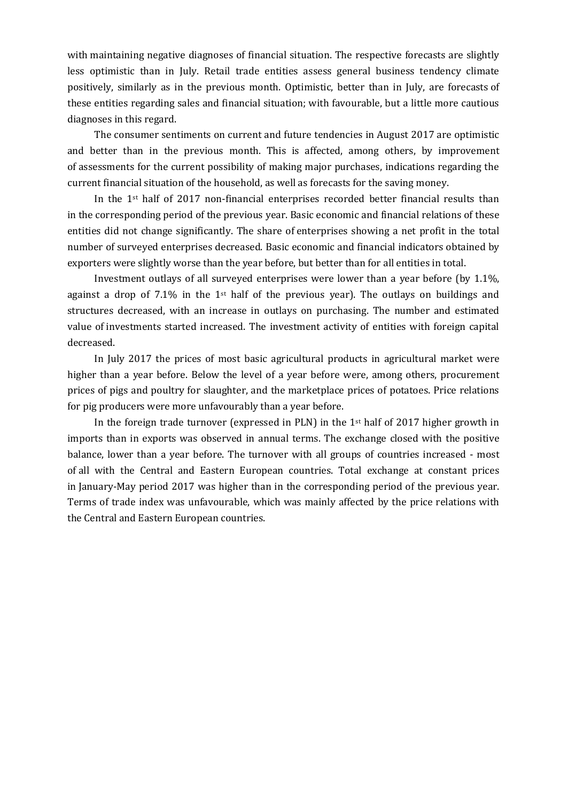with maintaining negative diagnoses of financial situation. The respective forecasts are slightly less optimistic than in July. Retail trade entities assess general business tendency climate positively, similarly as in the previous month. Optimistic, better than in July, are forecasts of these entities regarding sales and financial situation; with favourable, but a little more cautious diagnoses in this regard.

The consumer sentiments on current and future tendencies in August 2017 are optimistic and better than in the previous month. This is affected, among others, by improvement of assessments for the current possibility of making major purchases, indications regarding the current financial situation of the household, as well as forecasts for the saving money.

In the 1st half of 2017 non-financial enterprises recorded better financial results than in the corresponding period of the previous year. Basic economic and financial relations of these entities did not change significantly. The share of enterprises showing a net profit in the total number of surveyed enterprises decreased. Basic economic and financial indicators obtained by exporters were slightly worse than the year before, but better than for all entities in total.

Investment outlays of all surveyed enterprises were lower than a year before (by 1.1%, against a drop of 7.1% in the 1<sup>st</sup> half of the previous year). The outlays on buildings and structures decreased, with an increase in outlays on purchasing. The number and estimated value of investments started increased. The investment activity of entities with foreign capital decreased.

In July 2017 the prices of most basic agricultural products in agricultural market were higher than a year before. Below the level of a year before were, among others, procurement prices of pigs and poultry for slaughter, and the marketplace prices of potatoes. Price relations for pig producers were more unfavourably than a year before.

In the foreign trade turnover (expressed in PLN) in the  $1<sup>st</sup>$  half of 2017 higher growth in imports than in exports was observed in annual terms. The exchange closed with the positive balance, lower than a year before. The turnover with all groups of countries increased - most of all with the Central and Eastern European countries. Total exchange at constant prices in January-May period 2017 was higher than in the corresponding period of the previous year. Terms of trade index was unfavourable, which was mainly affected by the price relations with the Central and Eastern European countries.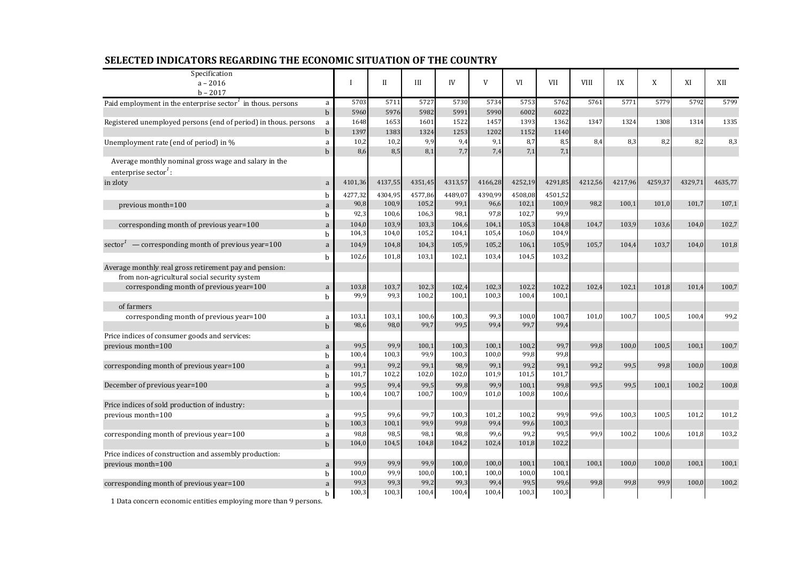| Specification                                                                            |              |             |              |         |         |         |         |         |             |         |         |         |         |
|------------------------------------------------------------------------------------------|--------------|-------------|--------------|---------|---------|---------|---------|---------|-------------|---------|---------|---------|---------|
| $a - 2016$                                                                               |              | $\mathbf I$ | $\mathbf{I}$ | III     | IV      | V       | VI      | VII     | <b>VIII</b> | IX      | X       | XI      | XII     |
| $b - 2017$                                                                               |              |             |              |         |         |         |         |         |             |         |         |         |         |
| Paid employment in the enterprise sector <sup>1</sup> in thous. persons                  | a            | 5703        | 5711         | 5727    | 5730    | 5734    | 5753    | 5762    | 5761        | 5771    | 5779    | 5792    | 5799    |
|                                                                                          | $\mathbf b$  | 5960        | 5976         | 5982    | 5991    | 5990    | 6002    | 6022    |             |         |         |         |         |
| Registered unemployed persons (end of period) in thous. persons                          | a            | 1648        | 1653         | 1601    | 1522    | 1457    | 1393    | 1362    | 1347        | 1324    | 1308    | 1314    | 1335    |
|                                                                                          | $\mathbf b$  | 1397        | 1383         | 1324    | 1253    | 1202    | 1152    | 1140    |             |         |         |         |         |
| Unemployment rate (end of period) in %                                                   | a            | 10,2        | 10,2         | 9,9     | 9,4     | 9,1     | 8,7     | 8,5     | 8,4         | 8,3     | 8,2     | 8,2     | 8,3     |
|                                                                                          | b            | 8,6         | 8,5          | 8,1     | 7,7     | 7,4     | 7,1     | 7,1     |             |         |         |         |         |
| Average monthly nominal gross wage and salary in the<br>enterprise sector <sup>1</sup> : |              |             |              |         |         |         |         |         |             |         |         |         |         |
| in zloty                                                                                 | $\mathbf a$  | 4101,36     | 4137,55      | 4351,45 | 4313,57 | 4166,28 | 4252,19 | 4291,85 | 4212,56     | 4217,96 | 4259,37 | 4329,71 | 4635,77 |
|                                                                                          | b            | 4277,32     | 4304,95      | 4577,86 | 4489,07 | 4390,99 | 4508,08 | 4501,52 |             |         |         |         |         |
| previous month=100                                                                       | a            | 90,8        | 100,9        | 105,2   | 99,1    | 96,6    | 102,1   | 100,9   | 98,2        | 100,1   | 101,0   | 101,7   | 107,1   |
|                                                                                          | b            | 92,3        | 100,6        | 106,3   | 98,1    | 97,8    | 102,7   | 99,9    |             |         |         |         |         |
| corresponding month of previous year=100                                                 | a            | 104,0       | 103,9        | 103,3   | 104,6   | 104,1   | 105,3   | 104,8   | 104,7       | 103,9   | 103,6   | 104,0   | 102,7   |
|                                                                                          | b            | 104,3       | 104,0        | 105,2   | 104,1   | 105,4   | 106,0   | 104,9   |             |         |         |         |         |
| sector <sup><math>1</math></sup> — corresponding month of previous year=100              | a            | 104,9       | 104,8        | 104,3   | 105,9   | 105,2   | 106,1   | 105,9   | 105,7       | 104,4   | 103,7   | 104,0   | 101,8   |
|                                                                                          | $\mathbf{h}$ | 102,6       | 101,8        | 103,1   | 102,1   | 103,4   | 104,5   | 103,2   |             |         |         |         |         |
| Average monthly real gross retirement pay and pension:                                   |              |             |              |         |         |         |         |         |             |         |         |         |         |
| from non-agricultural social security system                                             |              |             |              |         |         |         |         |         |             |         |         |         |         |
| corresponding month of previous year=100                                                 | a            | 103,8       | 103,7        | 102,3   | 102,4   | 102,3   | 102,2   | 102,2   | 102,4       | 102.1   | 101.8   | 101.4   | 100,7   |
|                                                                                          | $\mathbf{h}$ | 99,9        | 99,3         | 100,2   | 100,1   | 100,3   | 100,4   | 100,1   |             |         |         |         |         |
| of farmers                                                                               |              |             |              |         |         |         |         |         |             |         |         |         |         |
| corresponding month of previous year=100                                                 | a            | 103,1       | 103,1        | 100,6   | 100,3   | 99,3    | 100,0   | 100,7   | 101,0       | 100,7   | 100,5   | 100,4   | 99,2    |
|                                                                                          | $\mathbf{h}$ | 98,6        | 98,0         | 99,7    | 99,5    | 99,4    | 99,7    | 99,4    |             |         |         |         |         |
| Price indices of consumer goods and services:                                            |              |             |              |         |         |         |         |         |             |         |         |         |         |
| previous month=100                                                                       | $\mathbf a$  | 99,5        | 99,9         | 100,1   | 100,3   | 100,1   | 100,2   | 99,7    | 99,8        | 100(    | 100,5   | 100.1   | 100,7   |
|                                                                                          | b            | 100,4       | 100,3        | 99,9    | 100,3   | 100,0   | 99,8    | 99,8    |             |         |         |         |         |
| corresponding month of previous year=100                                                 | a            | 99,1        | 99,2         | 99,1    | 98,9    | 99,1    | 99,2    | 99,1    | 99,2        | 99,5    | 99,8    | 100.0   | 100,8   |
|                                                                                          | h            | 101,7       | 102,2        | 102,0   | 102,0   | 101,9   | 101,5   | 101,7   |             |         |         |         |         |
| December of previous year=100                                                            | a            | 99,5        | 99,4         | 99,5    | 99,8    | 99,9    | 100,1   | 99,8    | 99,5        | 99,5    | 100,1   | 100,2   | 100,8   |
|                                                                                          | b            | 100,4       | 100,7        | 100,7   | 100,9   | 101,0   | 100,8   | 100,6   |             |         |         |         |         |
| Price indices of sold production of industry:                                            |              |             |              |         |         |         |         |         |             |         |         |         |         |
| previous month=100                                                                       | a            | 99.5        | 99,6         | 99,7    | 100,3   | 101,2   | 100,2   | 99.9    | 99,6        | 100,3   | 100,5   | 101,2   | 101,2   |
|                                                                                          | $\mathbf b$  | 100,3       | 100,1        | 99,9    | 99,8    | 99,4    | 99,6    | 100,3   |             |         |         |         |         |
| corresponding month of previous year=100                                                 | a            | 98,8        | 98,          | 98,1    | 98,8    | 99,6    | 99,2    | 99,5    | 99,9        | 100,2   | 100,6   | 101,8   | 103,2   |
|                                                                                          | $\mathbf b$  | 104,0       | 104,5        | 104,8   | 104,2   | 102,4   | 101,8   | 102,2   |             |         |         |         |         |
| Price indices of construction and assembly production:                                   |              |             |              |         |         |         |         |         |             |         |         |         |         |
| previous month=100                                                                       | $\mathbf a$  | 99,9        | 99,9         | 99,9    | 100,0   | 100,0   | 100,1   | 100,1   | 100,1       | 100,0   | 100,0   | 100,1   | 100,1   |
|                                                                                          | b            | 100,0       | 99,9         | 100,0   | 100,1   | 100,0   | 100,0   | 100,1   |             |         |         |         |         |
| corresponding month of previous year=100                                                 | a            | 99,3        | 99,3         | 99,2    | 99,3    | 99,4    | 99,5    | 99,6    | 99,8        | 99,8    | 99,9    | 100,0   | 100.2   |
|                                                                                          | b.           | 100,3       | 100,3        | 100,4   | 100,4   | 100,4   | 100,3   | 100,3   |             |         |         |         |         |

## **SELECTED INDICATORS REGARDING THE ECONOMIC SITUATION OF THE COUNTRY**

1 Data concern economic entities employing more than 9 persons.